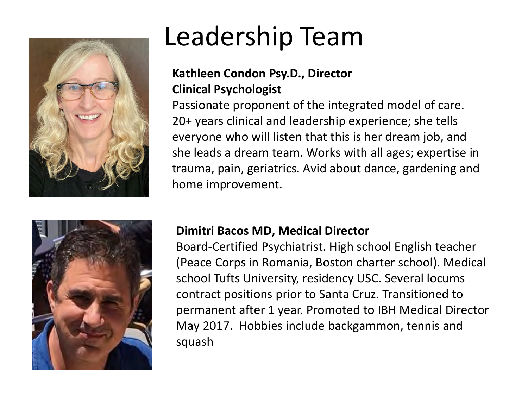



# Leadership Team

#### **Kathleen Condon Psy.D., Director Clinical Psychologist**

Passionate proponent of the integrated model of care. 20+ years clinical and leadership experience; she tells everyone who will listen that this is her dream job, and she leads a dream team. Works with all ages; expertise in trauma, pain, geriatrics. Avid about dance, gardening and home improvement.

#### **Dimitri Bacos MD, Medical Director**

Board-Certified Psychiatrist. High school English teacher (Peace Corps in Romania, Boston charter school). Medical school Tufts University, residency USC. Several locums contract positions prior to Santa Cruz. Transitioned to permanent after 1 year. Promoted to IBH Medical Director May 2017. Hobbies include backgammon, tennis and squash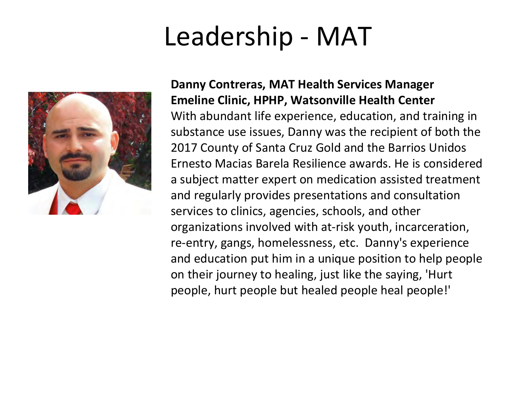# Leadership - MAT



#### **Danny Contreras, MAT Health Services Manager Emeline Clinic, HPHP, Watsonville Health Center** With abundant life experience, education, and training in substance use issues, Danny was the recipient of both the 2017 County of Santa Cruz Gold and the Barrios Unidos Ernesto Macias Barela Resilience awards. He is considered a subject matter expert on medication assisted treatment and regularly provides presentations and consultation services to clinics, agencies, schools, and other organizations involved with at-risk youth, incarceration, re-entry, gangs, homelessness, etc. Danny's experience and education put him in a unique position to help people on their journey to healing, just like the saying, 'Hurt people, hurt people but healed people heal people!'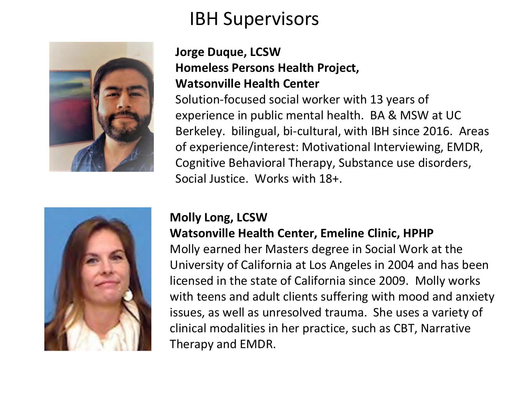### IBH Supervisors



#### **Jorge Duque, LCSW Homeless Persons Health Project, Watsonville Health Center**

Solution-focused social worker with 13 years of experience in public mental health. BA & MSW at UC Berkeley. bilingual, bi-cultural, with IBH since 2016. Areas of experience/interest: Motivational Interviewing, EMDR, Cognitive Behavioral Therapy, Substance use disorders, Social Justice. Works with 18+.



#### **Molly Long, LCSW Watsonville Health Center, Emeline Clinic, HPHP**

Molly earned her Masters degree in Social Work at the University of California at Los Angeles in 2004 and has been licensed in the state of California since 2009. Molly works with teens and adult clients suffering with mood and anxiety issues, as well as unresolved trauma. She uses a variety of clinical modalities in her practice, such as CBT, Narrative Therapy and EMDR.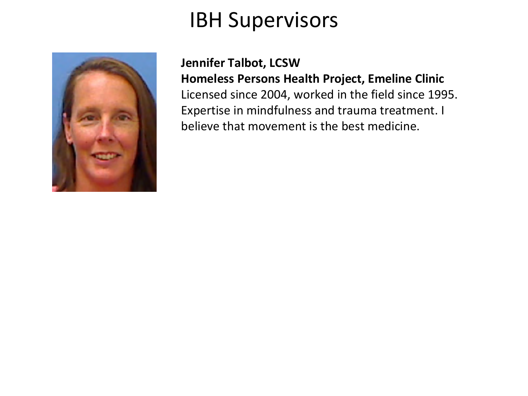### IBH Supervisors



**Jennifer Talbot, LCSW Homeless Persons Health Project, Emeline Clinic**  Licensed since 2004, worked in the field since 1995. Expertise in mindfulness and trauma treatment. I believe that movement is the best medicine.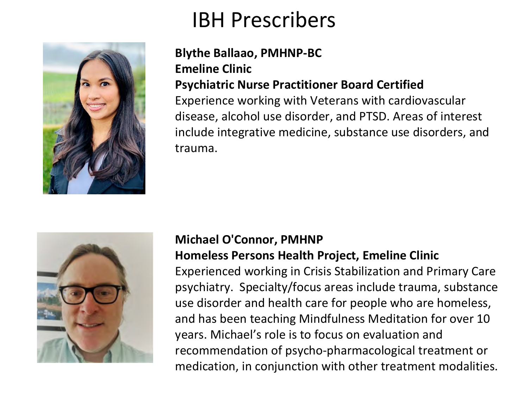### IBH Prescribers



#### **Blythe Ballaao, PMHNP-BC Emeline Clinic Psychiatric Nurse Practitioner Board Certified**

Experience working with Veterans with cardiovascular disease, alcohol use disorder, and PTSD. Areas of interest include integrative medicine, substance use disorders, and trauma.



#### **Michael O'Connor, PMHNP Homeless Persons Health Project, Emeline Clinic**

Experienced working in Crisis Stabilization and Primary Care psychiatry. Specialty/focus areas include trauma, substance use disorder and health care for people who are homeless, and has been teaching Mindfulness Meditation for over 10 years. Michael's role is to focus on evaluation and recommendation of psycho-pharmacological treatment or medication, in conjunction with other treatment modalities.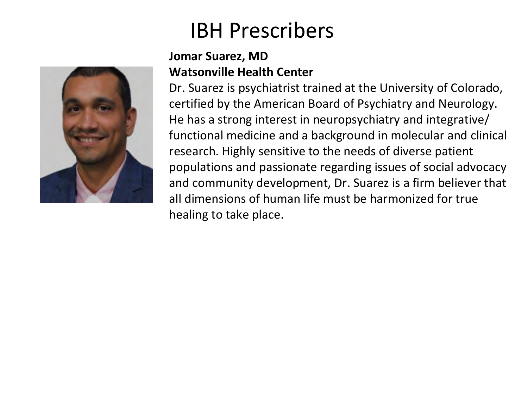### IBH Prescribers

#### **Jomar Suarez, MD Watsonville Health Center**

Dr. Suarez is psychiatrist trained at the University of Colorado, certified by the American Board of Psychiatry and Neurology. He has a strong interest in neuropsychiatry and integrative/ functional medicine and a background in molecular and clinical research. Highly sensitive to the needs of diverse patient populations and passionate regarding issues of social advocacy and community development, Dr. Suarez is a firm believer that all dimensions of human life must be harmonized for true healing to take place.

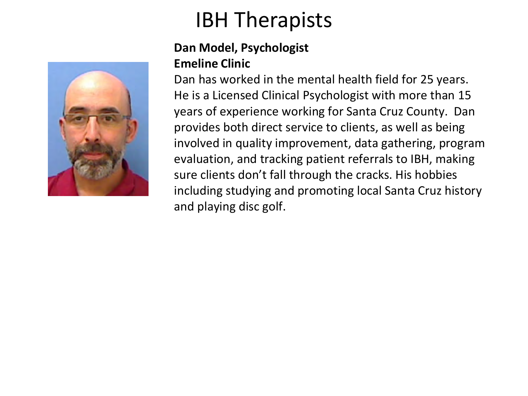

#### **Dan Model, Psychologist Emeline Clinic**

Dan has worked in the mental health field for 25 years. He is a Licensed Clinical Psychologist with more than 15 years of experience working for Santa Cruz County. Dan provides both direct service to clients, as well as being involved in quality improvement, data gathering, program evaluation, and tracking patient referrals to IBH, making sure clients don't fall through the cracks. His hobbies including studying and promoting local Santa Cruz history and playing disc golf.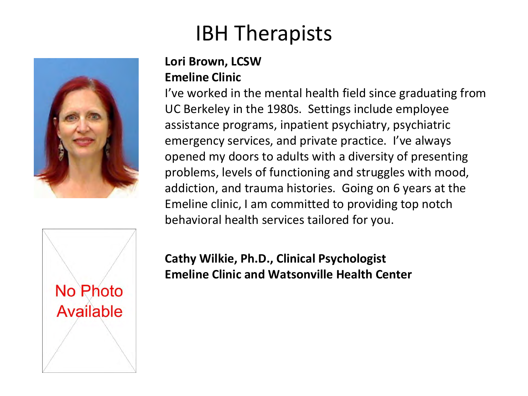

#### **Lori Brown, LCSW Emeline Clinic**

I've worked in the mental health field since graduating from UC Berkeley in the 1980s. Settings include employee assistance programs, inpatient psychiatry, psychiatric emergency services, and private practice. I've always opened my doors to adults with a diversity of presenting problems, levels of functioning and struggles with mood, addiction, and trauma histories. Going on 6 years at the Emeline clinic, I am committed to providing top notch behavioral health services tailored for you.



**Cathy Wilkie, Ph.D., Clinical Psychologist Emeline Clinic and Watsonville Health Center**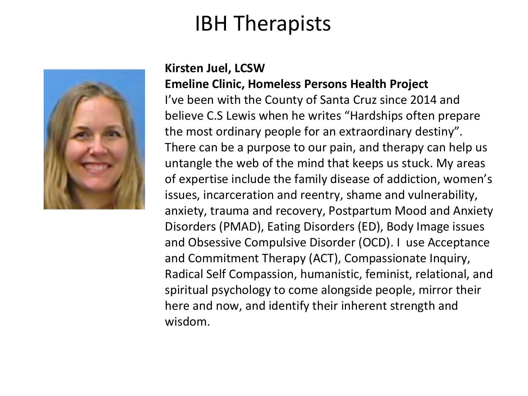

#### **Kirsten Juel, LCSW**

**Emeline Clinic, Homeless Persons Health Project** I've been with the County of Santa Cruz since 2014 and believe C.S Lewis when he writes "Hardships often prepare the most ordinary people for an extraordinary destiny". There can be a purpose to our pain, and therapy can help us untangle the web of the mind that keeps us stuck. My areas of expertise include the family disease of addiction, women's issues, incarceration and reentry, shame and vulnerability, anxiety, trauma and recovery, Postpartum Mood and Anxiety Disorders (PMAD), Eating Disorders (ED), Body Image issues and Obsessive Compulsive Disorder (OCD). I use Acceptance and Commitment Therapy (ACT), Compassionate Inquiry, Radical Self Compassion, humanistic, feminist, relational, and spiritual psychology to come alongside people, mirror their here and now, and identify their inherent strength and wisdom.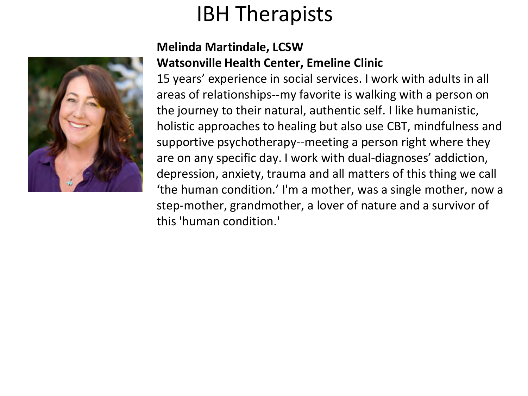

#### **Melinda Martindale, LCSW Watsonville Health Center, Emeline Clinic**

15 years' experience in social services. I work with adults in all areas of relationships--my favorite is walking with a person on the journey to their natural, authentic self. I like humanistic, holistic approaches to healing but also use CBT, mindfulness and supportive psychotherapy--meeting a person right where they are on any specific day. I work with dual-diagnoses' addiction, depression, anxiety, trauma and all matters of this thing we call 'the human condition.' I'm a mother, was a single mother, now a step-mother, grandmother, a lover of nature and a survivor of this 'human condition.'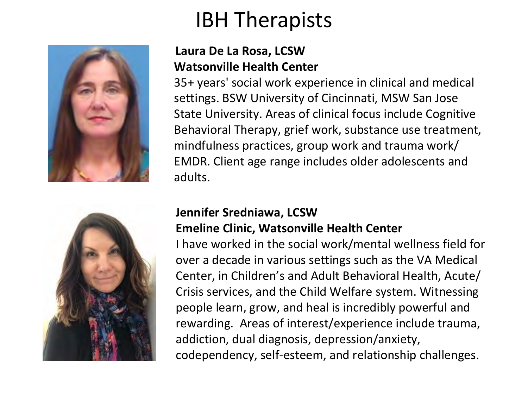



#### **Laura De La Rosa, LCSW Watsonville Health Center**

35+ years' social work experience in clinical and medical settings. BSW University of Cincinnati, MSW San Jose State University. Areas of clinical focus include Cognitive Behavioral Therapy, grief work, substance use treatment, mindfulness practices, group work and trauma work/ EMDR. Client age range includes older adolescents and adults.

#### **Jennifer Sredniawa, LCSW Emeline Clinic, Watsonville Health Center**

I have worked in the social work/mental wellness field for over a decade in various settings such as the VA Medical Center, in Children's and Adult Behavioral Health, Acute/ Crisis services, and the Child Welfare system. Witnessing people learn, grow, and heal is incredibly powerful and rewarding. Areas of interest/experience include trauma, addiction, dual diagnosis, depression/anxiety, codependency, self-esteem, and relationship challenges.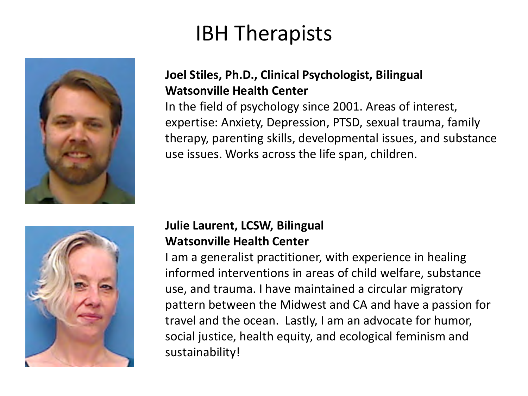

#### **Joel Stiles, Ph.D., Clinical Psychologist, Bilingual Watsonville Health Center**

In the field of psychology since 2001. Areas of interest, expertise: Anxiety, Depression, PTSD, sexual trauma, family therapy, parenting skills, developmental issues, and substance use issues. Works across the life span, children.



#### **Julie Laurent, LCSW, Bilingual Watsonville Health Center**

I am a generalist practitioner, with experience in healing informed interventions in areas of child welfare, substance use, and trauma. I have maintained a circular migratory pattern between the Midwest and CA and have a passion for travel and the ocean. Lastly, I am an advocate for humor, social justice, health equity, and ecological feminism and sustainability!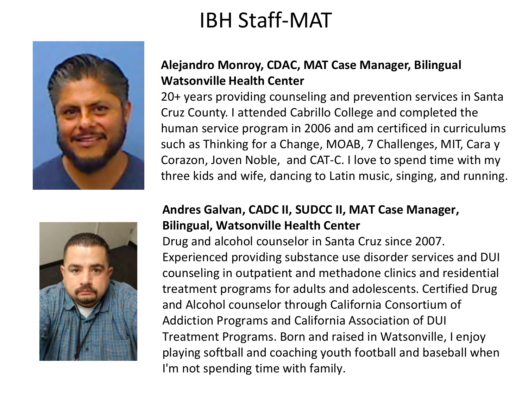### IBH Staff-MAT



#### **Alejandro Monroy, CDAC, MAT Case Manager, Bilingual Watsonville Health Center**

20+ years providing counseling and prevention services in Santa Cruz County. I attended Cabrillo College and completed the human service program in 2006 and am certificed in curriculums such as Thinking for a Change, MOAB, 7 Challenges, MIT, Cara y Corazon, Joven Noble, and CAT-C. I love to spend time with my three kids and wife, dancing to Latin music, singing, and running.



#### **Andres Galvan, CADC II, SUDCC II, MAT Case Manager, Bilingual, Watsonville Health Center**

Drug and alcohol counselor in Santa Cruz since 2007. Experienced providing substance use disorder services and DUI counseling in outpatient and methadone clinics and residential treatment programs for adults and adolescents. Certified Drug and Alcohol counselor through California Consortium of Addiction Programs and California Association of DUI Treatment Programs. Born and raised in Watsonville, I enjoy playing softball and coaching youth football and baseball when I'm not spending time with family.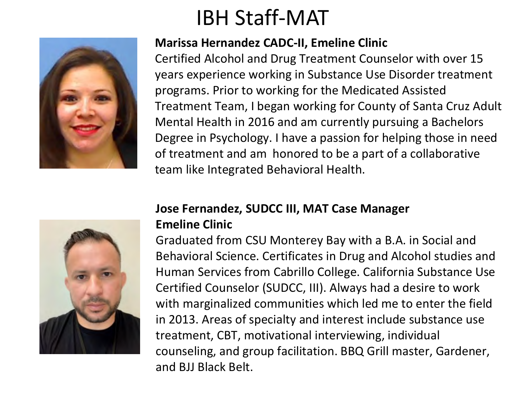## IBH Staff-MAT

#### **Marissa Hernandez CADC-II, Emeline Clinic**

Certified Alcohol and Drug Treatment Counselor with over 15 years experience working in Substance Use Disorder treatment programs. Prior to working for the Medicated Assisted Treatment Team, I began working for County of Santa Cruz Adult Mental Health in 2016 and am currently pursuing a Bachelors Degree in Psychology. I have a passion for helping those in need of treatment and am honored to be a part of a collaborative team like Integrated Behavioral Health.



#### **Jose Fernandez, SUDCC III, MAT Case Manager Emeline Clinic**

Graduated from CSU Monterey Bay with a B.A. in Social and Behavioral Science. Certificates in Drug and Alcohol studies and Human Services from Cabrillo College. California Substance Use Certified Counselor (SUDCC, III). Always had a desire to work with marginalized communities which led me to enter the field in 2013. Areas of specialty and interest include substance use treatment, CBT, motivational interviewing, individual counseling, and group facilitation. BBQ Grill master, Gardener, and BJJ Black Belt.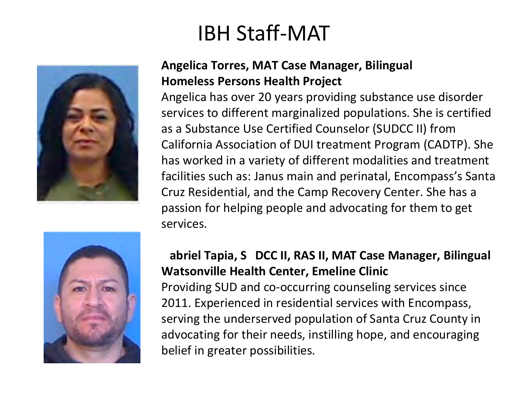### IBH Staff-MAT



#### **Angelica Torres, MAT Case Manager, Bilingual Homeless Persons Health Project**

Angelica has over 20 years providing substance use disorder services to different marginalized populations. She is certified as a Substance Use Certified Counselor (SUDCC II) from California Association of DUI treatment Program (CADTP). She has worked in a variety of different modalities and treatment facilities such as: Janus main and perinatal, Encompass's Santa Cruz Residential, and the Camp Recovery Center. She has a passion for helping people and advocating for them to get services.



#### **Gabriel Tapia, SUDCC II, RAS II, MAT Case Manager, Bilingual Watsonville Health Center, Emeline Clinic** Providing SUD and co-occurring counseling services since 2011. Experienced in residential services with Encompass, serving the underserved population of Santa Cruz County in advocating for their needs, instilling hope, and encouraging belief in greater possibilities.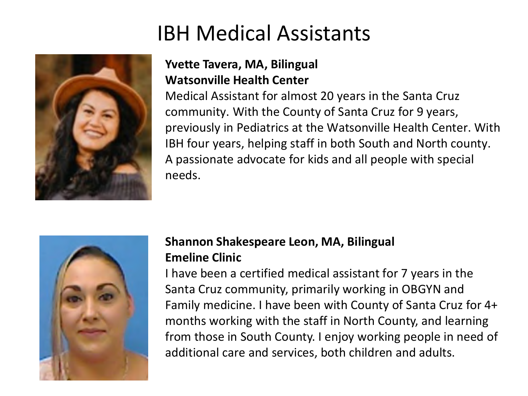### IBH Medical Assistants



#### **Yvette Tavera, MA, Bilingual Watsonville Health Center**

Medical Assistant for almost 20 years in the Santa Cruz community. With the County of Santa Cruz for 9 years, previously in Pediatrics at the Watsonville Health Center. With IBH four years, helping staff in both South and North county. A passionate advocate for kids and all people with special needs.



#### **Shannon Shakespeare Leon, MA, Bilingual Emeline Clinic**

I have been a certified medical assistant for 7 years in the Santa Cruz community, primarily working in OBGYN and Family medicine. I have been with County of Santa Cruz for 4+ months working with the staff in North County, and learning from those in South County. I enjoy working people in need of additional care and services, both children and adults.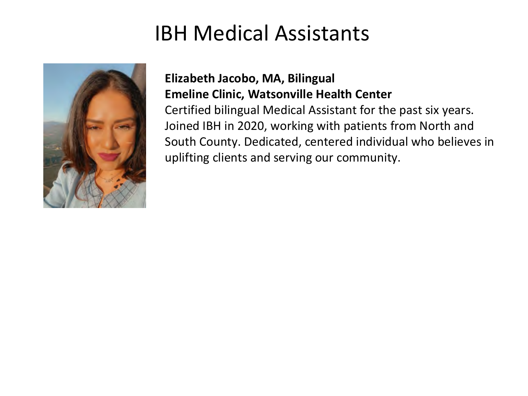### IBH Medical Assistants



#### **Elizabeth Jacobo, MA, Bilingual Emeline Clinic, Watsonville Health Center**

Certified bilingual Medical Assistant for the past six years. Joined IBH in 2020, working with patients from North and South County. Dedicated, centered individual who believes in uplifting clients and serving our community.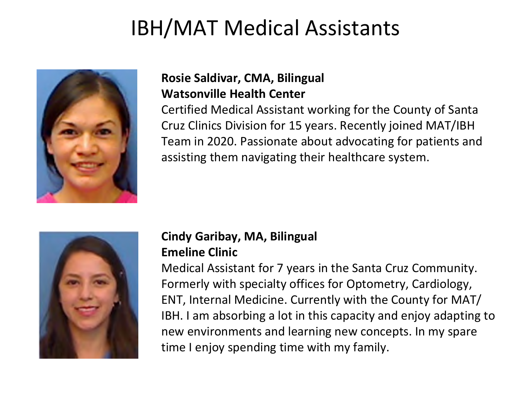### IBH/MAT Medical Assistants



#### **Rosie Saldivar, CMA, Bilingual Watsonville Health Center**

Certified Medical Assistant working for the County of Santa Cruz Clinics Division for 15 years. Recently joined MAT/IBH Team in 2020. Passionate about advocating for patients and assisting them navigating their healthcare system.



#### **Cindy Garibay, MA, Bilingual Emeline Clinic**

Medical Assistant for 7 years in the Santa Cruz Community. Formerly with specialty offices for Optometry, Cardiology, ENT, Internal Medicine. Currently with the County for MAT/ IBH. I am absorbing a lot in this capacity and enjoy adapting to new environments and learning new concepts. In my spare time I enjoy spending time with my family.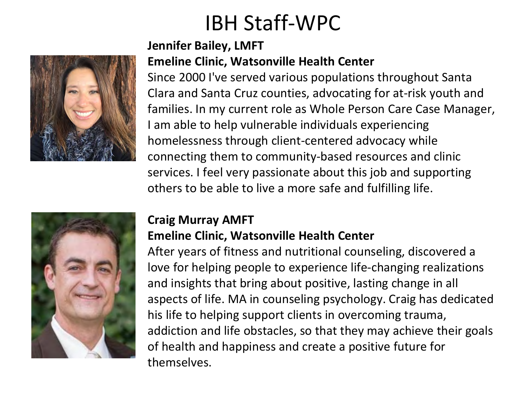### IBH Staff-WPC



#### **Jennifer Bailey, LMFT Emeline Clinic, Watsonville Health Center**

Since 2000 I've served various populations throughout Santa Clara and Santa Cruz counties, advocating for at-risk youth and families. In my current role as Whole Person Care Case Manager, I am able to help vulnerable individuals experiencing homelessness through client-centered advocacy while connecting them to community-based resources and clinic services. I feel very passionate about this job and supporting others to be able to live a more safe and fulfilling life.



### **Craig Murray AMFT**

#### **Emeline Clinic, Watsonville Health Center**

After years of fitness and nutritional counseling, discovered a love for helping people to experience life-changing realizations and insights that bring about positive, lasting change in all aspects of life. MA in counseling psychology. Craig has dedicated his life to helping support clients in overcoming trauma, addiction and life obstacles, so that they may achieve their goals of health and happiness and create a positive future for themselves.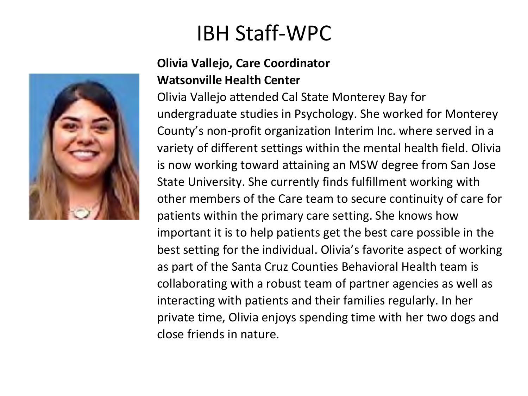### IBH Staff-WPC

#### **Olivia Vallejo, Care Coordinator Watsonville Health Center**

Olivia Vallejo attended Cal State Monterey Bay for undergraduate studies in Psychology. She worked for Monterey County's non-profit organization Interim Inc. where served in a variety of different settings within the mental health field. Olivia is now working toward attaining an MSW degree from San Jose State University. She currently finds fulfillment working with other members of the Care team to secure continuity of care for patients within the primary care setting. She knows how important it is to help patients get the best care possible in the best setting for the individual. Olivia's favorite aspect of working as part of the Santa Cruz Counties Behavioral Health team is collaborating with a robust team of partner agencies as well as interacting with patients and their families regularly. In her private time, Olivia enjoys spending time with her two dogs and close friends in nature.